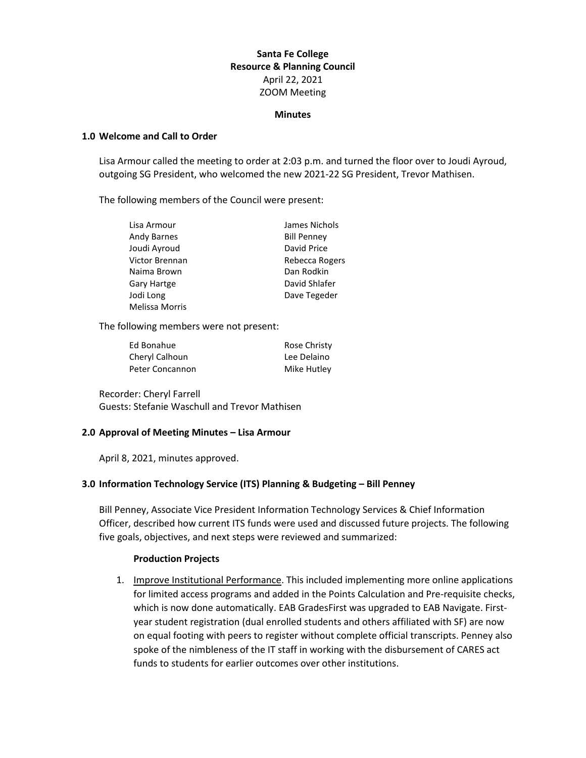# **Santa Fe College Resource & Planning Council** April 22, 2021 ZOOM Meeting

#### **Minutes**

### **1.0 Welcome and Call to Order**

Lisa Armour called the meeting to order at 2:03 p.m. and turned the floor over to Joudi Ayroud, outgoing SG President, who welcomed the new 2021-22 SG President, Trevor Mathisen.

The following members of the Council were present:

| Lisa Armour           | James Nichols      |
|-----------------------|--------------------|
| <b>Andy Barnes</b>    | <b>Bill Penney</b> |
| Joudi Ayroud          | David Price        |
| Victor Brennan        | Rebecca Rogers     |
| Naima Brown           | Dan Rodkin         |
| <b>Gary Hartge</b>    | David Shlafer      |
| Jodi Long             | Dave Tegeder       |
| <b>Melissa Morris</b> |                    |

The following members were not present:

| Ed Bonahue      | Rose Christy |
|-----------------|--------------|
| Cheryl Calhoun  | Lee Delaino  |
| Peter Concannon | Mike Hutley  |

Recorder: Cheryl Farrell Guests: Stefanie Waschull and Trevor Mathisen

### **2.0 Approval of Meeting Minutes – Lisa Armour**

April 8, 2021, minutes approved.

### **3.0 Information Technology Service (ITS) Planning & Budgeting – Bill Penney**

Bill Penney, Associate Vice President Information Technology Services & Chief Information Officer, described how current ITS funds were used and discussed future projects. The following five goals, objectives, and next steps were reviewed and summarized:

#### **Production Projects**

1. Improve Institutional Performance. This included implementing more online applications for limited access programs and added in the Points Calculation and Pre-requisite checks, which is now done automatically. EAB GradesFirst was upgraded to EAB Navigate. Firstyear student registration (dual enrolled students and others affiliated with SF) are now on equal footing with peers to register without complete official transcripts. Penney also spoke of the nimbleness of the IT staff in working with the disbursement of CARES act funds to students for earlier outcomes over other institutions.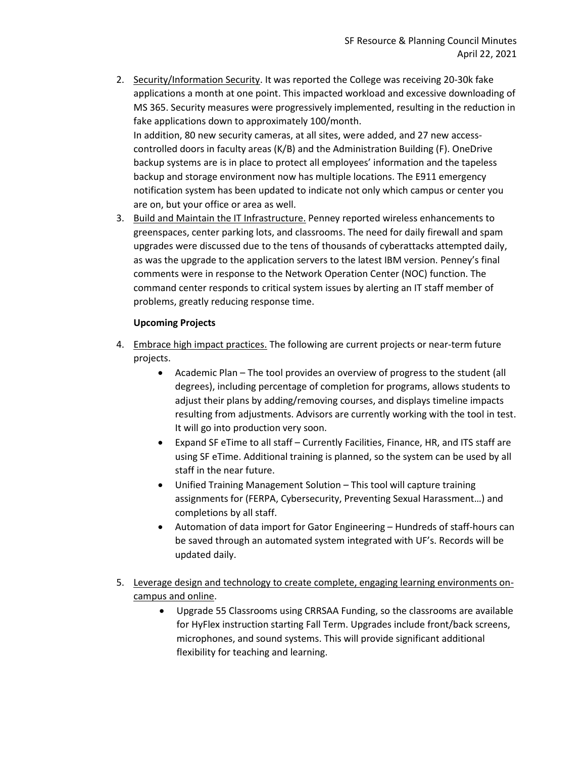- 2. Security/Information Security. It was reported the College was receiving 20-30k fake applications a month at one point. This impacted workload and excessive downloading of MS 365. Security measures were progressively implemented, resulting in the reduction in fake applications down to approximately 100/month. In addition, 80 new security cameras, at all sites, were added, and 27 new accesscontrolled doors in faculty areas (K/B) and the Administration Building (F). OneDrive backup systems are is in place to protect all employees' information and the tapeless backup and storage environment now has multiple locations. The E911 emergency notification system has been updated to indicate not only which campus or center you are on, but your office or area as well.
- 3. Build and Maintain the IT Infrastructure. Penney reported wireless enhancements to greenspaces, center parking lots, and classrooms. The need for daily firewall and spam upgrades were discussed due to the tens of thousands of cyberattacks attempted daily, as was the upgrade to the application servers to the latest IBM version. Penney's final comments were in response to the Network Operation Center (NOC) function. The command center responds to critical system issues by alerting an IT staff member of problems, greatly reducing response time.

# **Upcoming Projects**

- 4. Embrace high impact practices. The following are current projects or near-term future projects.
	- Academic Plan The tool provides an overview of progress to the student (all degrees), including percentage of completion for programs, allows students to adjust their plans by adding/removing courses, and displays timeline impacts resulting from adjustments. Advisors are currently working with the tool in test. It will go into production very soon.
	- Expand SF eTime to all staff Currently Facilities, Finance, HR, and ITS staff are using SF eTime. Additional training is planned, so the system can be used by all staff in the near future.
	- Unified Training Management Solution This tool will capture training assignments for (FERPA, Cybersecurity, Preventing Sexual Harassment…) and completions by all staff.
	- Automation of data import for Gator Engineering Hundreds of staff-hours can be saved through an automated system integrated with UF's. Records will be updated daily.
- 5. Leverage design and technology to create complete, engaging learning environments oncampus and online.
	- Upgrade 55 Classrooms using CRRSAA Funding, so the classrooms are available for HyFlex instruction starting Fall Term. Upgrades include front/back screens, microphones, and sound systems. This will provide significant additional flexibility for teaching and learning.